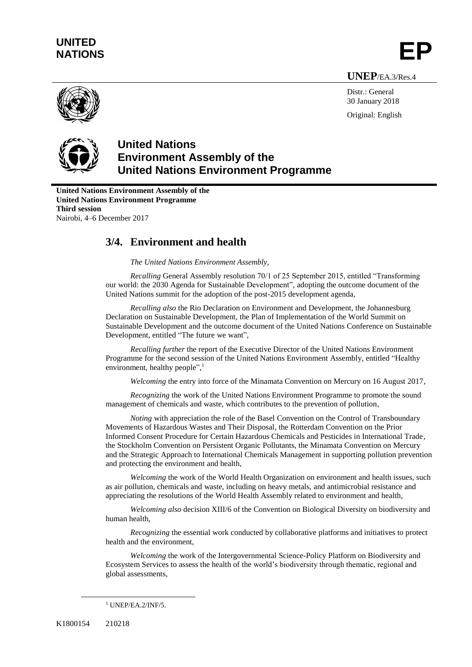# **UNITED** UNITED<br>NATIONS **EP**

**UNEP**/EA.3/Res.4



Distr.: General 30 January 2018 Original: English



## **United Nations Environment Assembly of the United Nations Environment Programme**

**United Nations Environment Assembly of the United Nations Environment Programme Third session** Nairobi, 4–6 December 2017

## **3/4. Environment and health**

*The United Nations Environment Assembly,*

*Recalling* General Assembly resolution 70/1 of 25 September 2015, entitled "Transforming our world: the 2030 Agenda for Sustainable Development", adopting the outcome document of the United Nations summit for the adoption of the post-2015 development agenda,

*Recalling also* the Rio Declaration on Environment and Development, the Johannesburg Declaration on Sustainable Development, the Plan of Implementation of the World Summit on Sustainable Development and the outcome document of the United Nations Conference on Sustainable Development, entitled "The future we want",

*Recalling further* the report of the Executive Director of the United Nations Environment Programme for the second session of the United Nations Environment Assembly, entitled "Healthy environment, healthy people",<sup>1</sup>

*Welcoming* the entry into force of the Minamata Convention on Mercury on 16 August 2017,

*Recognizing* the work of the United Nations Environment Programme to promote the sound management of chemicals and waste, which contributes to the prevention of pollution,

*Noting* with appreciation the role of the Basel Convention on the Control of Transboundary Movements of Hazardous Wastes and Their Disposal, the Rotterdam Convention on the Prior Informed Consent Procedure for Certain Hazardous Chemicals and Pesticides in International Trade, the Stockholm Convention on Persistent Organic Pollutants, the Minamata Convention on Mercury and the Strategic Approach to International Chemicals Management in supporting pollution prevention and protecting the environment and health,

*Welcoming* the work of the World Health Organization on environment and health issues, such as air pollution, chemicals and waste, including on heavy metals, and antimicrobial resistance and appreciating the resolutions of the World Health Assembly related to environment and health,

*Welcoming also* decision XIII/6 of the Convention on Biological Diversity on biodiversity and human health,

*Recognizing* the essential work conducted by collaborative platforms and initiatives to protect health and the environment,

*Welcoming* the work of the Intergovernmental Science-Policy Platform on Biodiversity and Ecosystem Services to assess the health of the world's biodiversity through thematic, regional and global assessments,

 $\overline{a}$ 

 $1$  UNEP/EA.2/INF/5.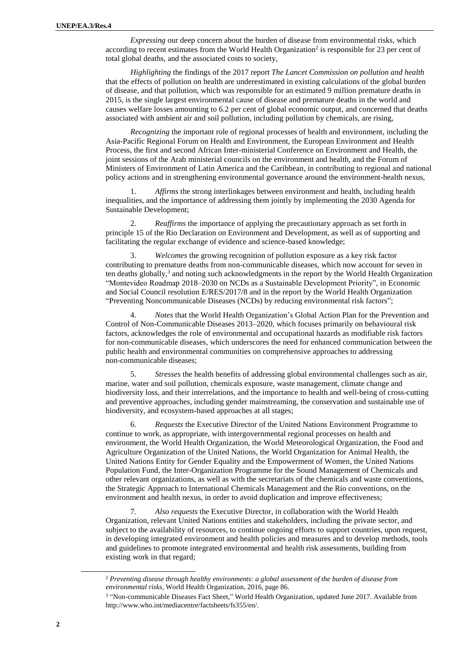*Expressing* our deep concern about the burden of disease from environmental risks, which according to recent estimates from the World Health Organization<sup>2</sup> is responsible for 23 per cent of total global deaths, and the associated costs to society,

*Highlighting* the findings of the 2017 report *The Lancet Commission on pollution and health* that the effects of pollution on health are underestimated in existing calculations of the global burden of disease, and that pollution, which was responsible for an estimated 9 million premature deaths in 2015, is the single largest environmental cause of disease and premature deaths in the world and causes welfare losses amounting to 6.2 per cent of global economic output, and concerned that deaths associated with ambient air and soil pollution, including pollution by chemicals, are rising,

*Recognizing* the important role of regional processes of health and environment, including the Asia-Pacific Regional Forum on Health and Environment, the European Environment and Health Process, the first and second African Inter-ministerial Conference on Environment and Health, the joint sessions of the Arab ministerial councils on the environment and health, and the Forum of Ministers of Environment of Latin America and the Caribbean, in contributing to regional and national policy actions and in strengthening environmental governance around the environment-health nexus,

1. *Affirms* the strong interlinkages between environment and health, including health inequalities, and the importance of addressing them jointly by implementing the 2030 Agenda for Sustainable Development;

2. *Reaffirms* the importance of applying the precautionary approach as set forth in principle 15 of the Rio Declaration on Environment and Development, as well as of supporting and facilitating the regular exchange of evidence and science-based knowledge;

3. *Welcomes* the growing recognition of pollution exposure as a key risk factor contributing to premature deaths from non-communicable diseases, which now account for seven in ten deaths globally,<sup>3</sup> and noting such acknowledgments in the report by the World Health Organization "Montevideo Roadmap 2018–2030 on NCDs as a Sustainable Development Priority", in Economic and Social Council resolution E/RES/2017/8 and in the report by the World Health Organization "Preventing Noncommunicable Diseases (NCDs) by reducing environmental risk factors";

4. *Notes* that the World Health Organization's Global Action Plan for the Prevention and Control of Non-Communicable Diseases 2013–2020, which focuses primarily on behavioural risk factors, acknowledges the role of environmental and occupational hazards as modifiable risk factors for non-communicable diseases, which underscores the need for enhanced communication between the public health and environmental communities on comprehensive approaches to addressing non-communicable diseases;

5. *Stresses* the health benefits of addressing global environmental challenges such as air, marine, water and soil pollution, chemicals exposure, waste management, climate change and biodiversity loss, and their interrelations, and the importance to health and well-being of cross-cutting and preventive approaches, including gender mainstreaming, the conservation and sustainable use of biodiversity, and ecosystem-based approaches at all stages;

6. *Requests* the Executive Director of the United Nations Environment Programme to continue to work, as appropriate, with intergovernmental regional processes on health and environment, the World Health Organization, the World Meteorological Organization, the Food and Agriculture Organization of the United Nations, the World Organization for Animal Health, the United Nations Entity for Gender Equality and the Empowerment of Women, the United Nations Population Fund, the Inter-Organization Programme for the Sound Management of Chemicals and other relevant organizations, as well as with the secretariats of the chemicals and waste conventions, the Strategic Approach to International Chemicals Management and the Rio conventions, on the environment and health nexus, in order to avoid duplication and improve effectiveness;

7. *Also requests* the Executive Director, in collaboration with the World Health Organization, relevant United Nations entities and stakeholders, including the private sector, and subject to the availability of resources, to continue ongoing efforts to support countries, upon request, in developing integrated environment and health policies and measures and to develop methods, tools and guidelines to promote integrated environmental and health risk assessments, building from existing work in that regard;

l

<sup>2</sup> *Preventing disease through healthy environments: a global assessment of the burden of disease from environmental risks*, World Health Organization, 2016, page 86.

<sup>3</sup> "Non-communicable Diseases Fact Sheet," World Health Organization, updated June 2017. Available from [http://www.who.int/mediacentre/factsheets/fs355/en/.](http://www.who.int/mediacentre/factsheets/fs355/en/)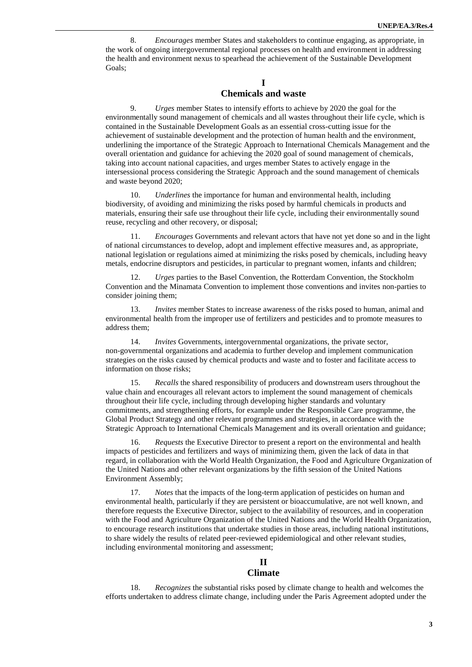8. *Encourages* member States and stakeholders to continue engaging, as appropriate, in the work of ongoing intergovernmental regional processes on health and environment in addressing the health and environment nexus to spearhead the achievement of the Sustainable Development Goals;

## **I Chemicals and waste**

9. *Urges* member States to intensify efforts to achieve by 2020 the goal for the environmentally sound management of chemicals and all wastes throughout their life cycle, which is contained in the Sustainable Development Goals as an essential cross-cutting issue for the achievement of sustainable development and the protection of human health and the environment, underlining the importance of the Strategic Approach to International Chemicals Management and the overall orientation and guidance for achieving the 2020 goal of sound management of chemicals, taking into account national capacities, and urges member States to actively engage in the intersessional process considering the Strategic Approach and the sound management of chemicals and waste beyond 2020;

10. *Underlines* the importance for human and environmental health, including biodiversity, of avoiding and minimizing the risks posed by harmful chemicals in products and materials, ensuring their safe use throughout their life cycle, including their environmentally sound reuse, recycling and other recovery, or disposal;

11. *Encourages* Governments and relevant actors that have not yet done so and in the light of national circumstances to develop, adopt and implement effective measures and, as appropriate, national legislation or regulations aimed at minimizing the risks posed by chemicals, including heavy metals, endocrine disruptors and pesticides, in particular to pregnant women, infants and children;

12. *Urges* parties to the Basel Convention, the Rotterdam Convention, the Stockholm Convention and the Minamata Convention to implement those conventions and invites non-parties to consider joining them;

13. *Invites* member States to increase awareness of the risks posed to human, animal and environmental health from the improper use of fertilizers and pesticides and to promote measures to address them;

14. *Invites* Governments, intergovernmental organizations, the private sector, non-governmental organizations and academia to further develop and implement communication strategies on the risks caused by chemical products and waste and to foster and facilitate access to information on those risks;

15. *Recalls* the shared responsibility of producers and downstream users throughout the value chain and encourages all relevant actors to implement the sound management of chemicals throughout their life cycle, including through developing higher standards and voluntary commitments, and strengthening efforts, for example under the Responsible Care programme, the Global Product Strategy and other relevant programmes and strategies, in accordance with the Strategic Approach to International Chemicals Management and its overall orientation and guidance;

16. *Requests* the Executive Director to present a report on the environmental and health impacts of pesticides and fertilizers and ways of minimizing them, given the lack of data in that regard, in collaboration with the World Health Organization, the Food and Agriculture Organization of the United Nations and other relevant organizations by the fifth session of the United Nations Environment Assembly;

17. *Notes* that the impacts of the long-term application of pesticides on human and environmental health, particularly if they are persistent or bioaccumulative, are not well known, and therefore requests the Executive Director, subject to the availability of resources, and in cooperation with the Food and Agriculture Organization of the United Nations and the World Health Organization, to encourage research institutions that undertake studies in those areas, including national institutions, to share widely the results of related peer-reviewed epidemiological and other relevant studies, including environmental monitoring and assessment;

## **II**

## **Climate**

18. *Recognizes* the substantial risks posed by climate change to health and welcomes the efforts undertaken to address climate change, including under the Paris Agreement adopted under the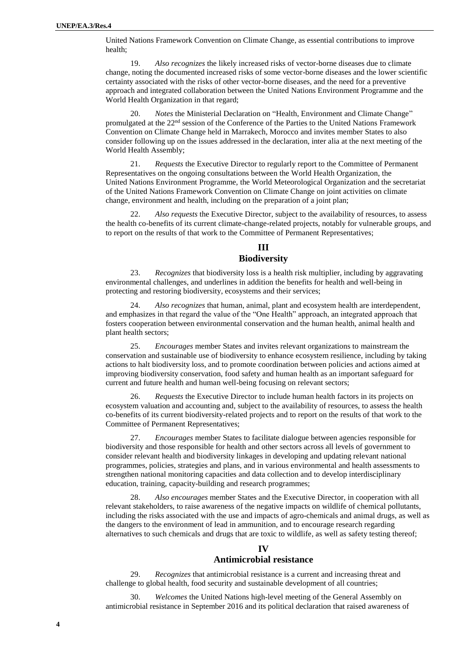United Nations Framework Convention on Climate Change, as essential contributions to improve health;

19. *Also recognizes* the likely increased risks of vector-borne diseases due to climate change, noting the documented increased risks of some vector-borne diseases and the lower scientific certainty associated with the risks of other vector-borne diseases, and the need for a preventive approach and integrated collaboration between the United Nations Environment Programme and the World Health Organization in that regard;

20. *Notes* the Ministerial Declaration on "Health, Environment and Climate Change" promulgated at the 22nd session of the Conference of the Parties to the United Nations Framework Convention on Climate Change held in Marrakech, Morocco and invites member States to also consider following up on the issues addressed in the declaration, inter alia at the next meeting of the World Health Assembly;

21. *Requests* the Executive Director to regularly report to the Committee of Permanent Representatives on the ongoing consultations between the World Health Organization, the United Nations Environment Programme, the World Meteorological Organization and the secretariat of the United Nations Framework Convention on Climate Change on joint activities on climate change, environment and health, including on the preparation of a joint plan;

22. *Also requests* the Executive Director, subject to the availability of resources, to assess the health co-benefits of its current climate-change-related projects, notably for vulnerable groups, and to report on the results of that work to the Committee of Permanent Representatives;

## **III Biodiversity**

23. *Recognizes* that biodiversity loss is a health risk multiplier, including by aggravating environmental challenges, and underlines in addition the benefits for health and well-being in protecting and restoring biodiversity, ecosystems and their services;

24. *Also recognizes* that human, animal, plant and ecosystem health are interdependent, and emphasizes in that regard the value of the "One Health" approach, an integrated approach that fosters cooperation between environmental conservation and the human health, animal health and plant health sectors;

25. *Encourages* member States and invites relevant organizations to mainstream the conservation and sustainable use of biodiversity to enhance ecosystem resilience, including by taking actions to halt biodiversity loss, and to promote coordination between policies and actions aimed at improving biodiversity conservation, food safety and human health as an important safeguard for current and future health and human well-being focusing on relevant sectors;

26. *Requests* the Executive Director to include human health factors in its projects on ecosystem valuation and accounting and, subject to the availability of resources, to assess the health co-benefits of its current biodiversity-related projects and to report on the results of that work to the Committee of Permanent Representatives;

27. *Encourages* member States to facilitate dialogue between agencies responsible for biodiversity and those responsible for health and other sectors across all levels of government to consider relevant health and biodiversity linkages in developing and updating relevant national programmes, policies, strategies and plans, and in various environmental and health assessments to strengthen national monitoring capacities and data collection and to develop interdisciplinary education, training, capacity-building and research programmes;

Also encourages member States and the Executive Director, in cooperation with all relevant stakeholders, to raise awareness of the negative impacts on wildlife of chemical pollutants, including the risks associated with the use and impacts of agro-chemicals and animal drugs, as well as the dangers to the environment of lead in ammunition, and to encourage research regarding alternatives to such chemicals and drugs that are toxic to wildlife, as well as safety testing thereof;

### **IV**

## **Antimicrobial resistance**

29. *Recognizes* that antimicrobial resistance is a current and increasing threat and challenge to global health, food security and sustainable development of all countries;

30. *Welcomes* the United Nations high-level meeting of the General Assembly on antimicrobial resistance in September 2016 and its political declaration that raised awareness of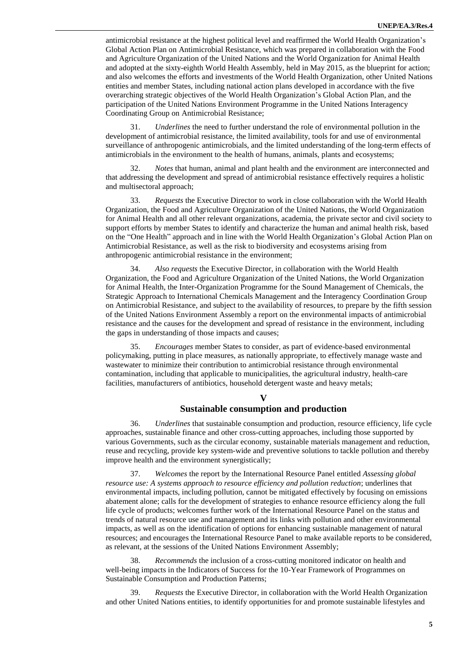antimicrobial resistance at the highest political level and reaffirmed the World Health Organization's Global Action Plan on Antimicrobial Resistance, which was prepared in collaboration with the Food and Agriculture Organization of the United Nations and the World Organization for Animal Health and adopted at the sixty-eighth World Health Assembly, held in May 2015, as the blueprint for action; and also welcomes the efforts and investments of the World Health Organization, other United Nations entities and member States, including national action plans developed in accordance with the five overarching strategic objectives of the World Health Organization's Global Action Plan, and the participation of the United Nations Environment Programme in the United Nations Interagency Coordinating Group on Antimicrobial Resistance;

31. *Underlines* the need to further understand the role of environmental pollution in the development of antimicrobial resistance, the limited availability, tools for and use of environmental surveillance of anthropogenic antimicrobials, and the limited understanding of the long-term effects of antimicrobials in the environment to the health of humans, animals, plants and ecosystems;

32. *Notes* that human, animal and plant health and the environment are interconnected and that addressing the development and spread of antimicrobial resistance effectively requires a holistic and multisectoral approach;

33. *Requests* the Executive Director to work in close collaboration with the World Health Organization, the Food and Agriculture Organization of the United Nations, the World Organization for Animal Health and all other relevant organizations, academia, the private sector and civil society to support efforts by member States to identify and characterize the human and animal health risk, based on the "One Health" approach and in line with the World Health Organization's Global Action Plan on Antimicrobial Resistance, as well as the risk to biodiversity and ecosystems arising from anthropogenic antimicrobial resistance in the environment;

34. *Also requests* the Executive Director, in collaboration with the World Health Organization, the Food and Agriculture Organization of the United Nations, the World Organization for Animal Health, the Inter-Organization Programme for the Sound Management of Chemicals, the Strategic Approach to International Chemicals Management and the Interagency Coordination Group on Antimicrobial Resistance, and subject to the availability of resources, to prepare by the fifth session of the United Nations Environment Assembly a report on the environmental impacts of antimicrobial resistance and the causes for the development and spread of resistance in the environment, including the gaps in understanding of those impacts and causes;

35. *Encourages* member States to consider, as part of evidence-based environmental policymaking, putting in place measures, as nationally appropriate, to effectively manage waste and wastewater to minimize their contribution to antimicrobial resistance through environmental contamination, including that applicable to municipalities, the agricultural industry, health-care facilities, manufacturers of antibiotics, household detergent waste and heavy metals;

#### **V**

### **Sustainable consumption and production**

36. *Underlines* that sustainable consumption and production, resource efficiency, life cycle approaches, sustainable finance and other cross-cutting approaches, including those supported by various Governments, such as the circular economy, sustainable materials management and reduction, reuse and recycling, provide key system-wide and preventive solutions to tackle pollution and thereby improve health and the environment synergistically;

37. *Welcomes* the report by the International Resource Panel entitled *Assessing global resource use: A systems approach to resource efficiency and pollution reduction*; underlines that environmental impacts, including pollution, cannot be mitigated effectively by focusing on emissions abatement alone; calls for the development of strategies to enhance resource efficiency along the full life cycle of products; welcomes further work of the International Resource Panel on the status and trends of natural resource use and management and its links with pollution and other environmental impacts, as well as on the identification of options for enhancing sustainable management of natural resources; and encourages the International Resource Panel to make available reports to be considered, as relevant, at the sessions of the United Nations Environment Assembly;

38. *Recommends* the inclusion of a cross-cutting monitored indicator on health and well-being impacts in the Indicators of Success for the 10-Year Framework of Programmes on Sustainable Consumption and Production Patterns;

39. *Requests* the Executive Director, in collaboration with the World Health Organization and other United Nations entities, to identify opportunities for and promote sustainable lifestyles and